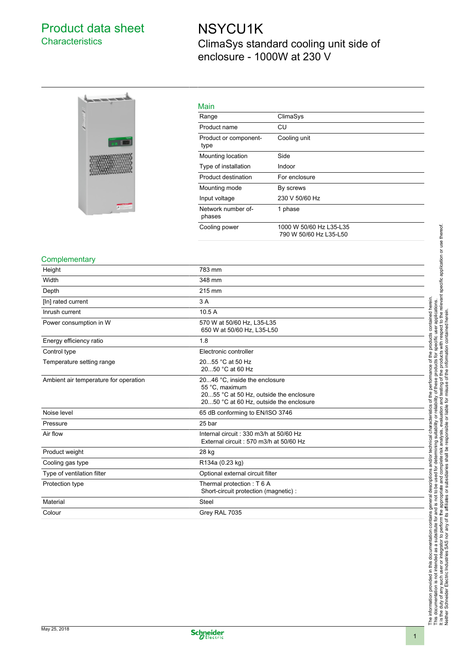## Product data sheet **Characteristics**

# NSYCU1K ClimaSys standard cooling unit side of enclosure - 1000W at 230 V



### Main

| <u>iviali i</u>               |                                                   |
|-------------------------------|---------------------------------------------------|
| Range                         | ClimaSys                                          |
| Product name                  | CU                                                |
| Product or component-<br>type | Cooling unit                                      |
| Mounting location             | Side                                              |
| Type of installation          | Indoor                                            |
| Product destination           | For enclosure                                     |
| Mounting mode                 | By screws                                         |
| Input voltage                 | 230 V 50/60 Hz                                    |
| Network number of-<br>phases  | 1 phase                                           |
| Cooling power                 | 1000 W 50/60 Hz L35-L35<br>790 W 50/60 Hz L35-L50 |
|                               |                                                   |

#### **Complementary**

| Height                                | 783 mm                                                                                                                                |
|---------------------------------------|---------------------------------------------------------------------------------------------------------------------------------------|
| Width                                 | 348 mm                                                                                                                                |
| Depth                                 | 215 mm                                                                                                                                |
| [In] rated current                    | 3A                                                                                                                                    |
| Inrush current                        | 10.5A                                                                                                                                 |
| Power consumption in W                | 570 W at 50/60 Hz, L35-L35<br>650 W at 50/60 Hz, L35-L50                                                                              |
| Energy efficiency ratio               | 1.8                                                                                                                                   |
| Control type                          | Electronic controller                                                                                                                 |
| Temperature setting range             | 2055 °C at 50 Hz<br>2050 °C at 60 Hz                                                                                                  |
| Ambient air temperature for operation | 2046 °C, inside the enclosure<br>55 °C, maximum<br>2055 °C at 50 Hz, outside the enclosure<br>2050 °C at 60 Hz, outside the enclosure |
| Noise level                           | 65 dB conforming to EN/ISO 3746                                                                                                       |
| Pressure                              | 25 bar                                                                                                                                |
| Air flow                              | Internal circuit: 330 m3/h at 50/60 Hz<br>External circuit: 570 m3/h at 50/60 Hz                                                      |
| Product weight                        | 28 kg                                                                                                                                 |
| Cooling gas type                      | R134a (0.23 kg)                                                                                                                       |
| Type of ventilation filter            | Optional external circuit filter                                                                                                      |
| Protection type                       | Thermal protection: T 6 A<br>Short-circuit protection (magnetic) :                                                                    |
| Material                              | <b>Steel</b>                                                                                                                          |
| Colour                                | Grey RAL 7035                                                                                                                         |
|                                       |                                                                                                                                       |